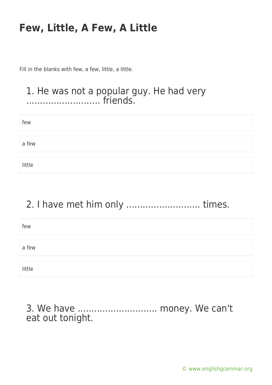Fill in the blanks with few, a few, little, a little.

#### 1. He was not a popular guy. He had very ........................... friends.

| few    |  |  |  |
|--------|--|--|--|
|        |  |  |  |
| a few  |  |  |  |
|        |  |  |  |
| little |  |  |  |

## 2. I have met him only ........................... times.

| few    |  |
|--------|--|
|        |  |
| a few  |  |
|        |  |
| little |  |

3. We have ............................. money. We can't eat out tonight.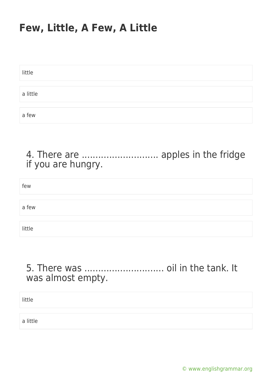| little   |  |  |
|----------|--|--|
|          |  |  |
|          |  |  |
| a little |  |  |
|          |  |  |
|          |  |  |
|          |  |  |
|          |  |  |
| a few    |  |  |
|          |  |  |

#### 4. There are ............................ apples in the fridge if you are hungry.

| few    |  |  |  |
|--------|--|--|--|
|        |  |  |  |
| a few  |  |  |  |
|        |  |  |  |
| little |  |  |  |

## 5. There was ............................. oil in the tank. It was almost empty.

little

a little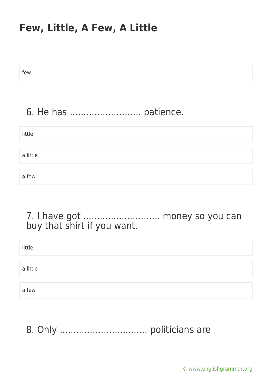few

## 6. He has .......................... patience.

| little   |  |  |  |
|----------|--|--|--|
|          |  |  |  |
| a little |  |  |  |
|          |  |  |  |
| a few    |  |  |  |

### 7. I have got ............................ money so you can buy that shirt if you want.

| little   |  |  |  |
|----------|--|--|--|
|          |  |  |  |
| a little |  |  |  |
|          |  |  |  |
| a few    |  |  |  |

8. Only ................................ politicians are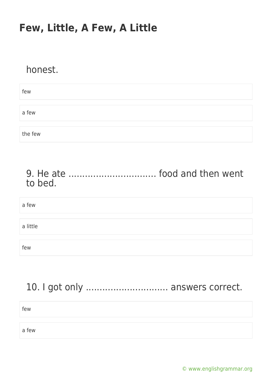## honest.

| few     |  |  |
|---------|--|--|
|         |  |  |
| a few   |  |  |
|         |  |  |
| the few |  |  |

#### 9. He ate ................................ food and then went to bed.

# a few a little few

## 10. I got only ................................ answers correct.

few

a few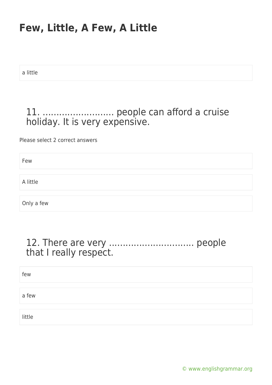a little

## 11. .......................... people can afford a cruise holiday. It is very expensive.

Please select 2 correct answers

Few

A little

Only a few

#### 12. There are very ............................... people that I really respect.

| few    |  |
|--------|--|
|        |  |
| a few  |  |
|        |  |
| little |  |